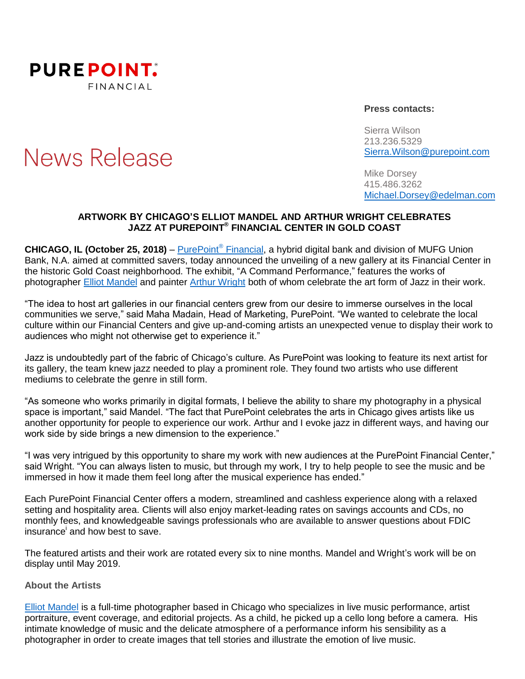

# **News Release**

#### **Press contacts:**

Sierra Wilson 213.236.5329 [Sierra.Wilson@purepoint.com](mailto:Sierra.Wilson@purepoint.com)

Mike Dorsey 415.486.3262 [Michael.Dorsey@edelman.com](mailto:Michael.Dorsey@edelman.com)

#### **ARTWORK BY CHICAGO'S ELLIOT MANDEL AND ARTHUR WRIGHT CELEBRATES JAZZ AT PUREPOINT ® FINANCIAL CENTER IN GOLD COAST**

**CHICAGO, IL (October 25, 2018)** – [PurePoint](https://www.purepoint.com/)® Financial, a hybrid digital bank and division of MUFG Union Bank, N.A. aimed at committed savers, today announced the unveiling of a new gallery at its Financial Center in the historic Gold Coast neighborhood. The exhibit, "A Command Performance," features the works of photographer [Elliot Mandel](https://www.elliotmandelphoto.com/) and painter [Arthur Wright](http://www.getitwright.com/) both of whom celebrate the art form of Jazz in their work.

"The idea to host art galleries in our financial centers grew from our desire to immerse ourselves in the local communities we serve," said Maha Madain, Head of Marketing, PurePoint. "We wanted to celebrate the local culture within our Financial Centers and give up-and-coming artists an unexpected venue to display their work to audiences who might not otherwise get to experience it."

Jazz is undoubtedly part of the fabric of Chicago's culture. As PurePoint was looking to feature its next artist for its gallery, the team knew jazz needed to play a prominent role. They found two artists who use different mediums to celebrate the genre in still form.

"As someone who works primarily in digital formats, I believe the ability to share my photography in a physical space is important," said Mandel. "The fact that PurePoint celebrates the arts in Chicago gives artists like us another opportunity for people to experience our work. Arthur and I evoke jazz in different ways, and having our work side by side brings a new dimension to the experience."

"I was very intrigued by this opportunity to share my work with new audiences at the PurePoint Financial Center," said Wright. "You can always listen to music, but through my work, I try to help people to see the music and be immersed in how it made them feel long after the musical experience has ended."

Each PurePoint Financial Center offers a modern, streamlined and cashless experience along with a relaxed setting and hospitality area. Clients will also enjoy market-leading rates on savings accounts and CDs, no monthly fees, and knowledgeable savings professionals who are available to answer questions about FDIC insurance and how best to save.

The featured artists and their work are rotated every six to nine months. Mandel and Wright's work will be on display until May 2019.

#### **About the Artists**

[Elliot Mandel](https://www.elliotmandelphoto.com/) is a full-time photographer based in Chicago who specializes in live music performance, artist portraiture, event coverage, and editorial projects. As a child, he picked up a cello long before a camera. His intimate knowledge of music and the delicate atmosphere of a performance inform his sensibility as a photographer in order to create images that tell stories and illustrate the emotion of live music.